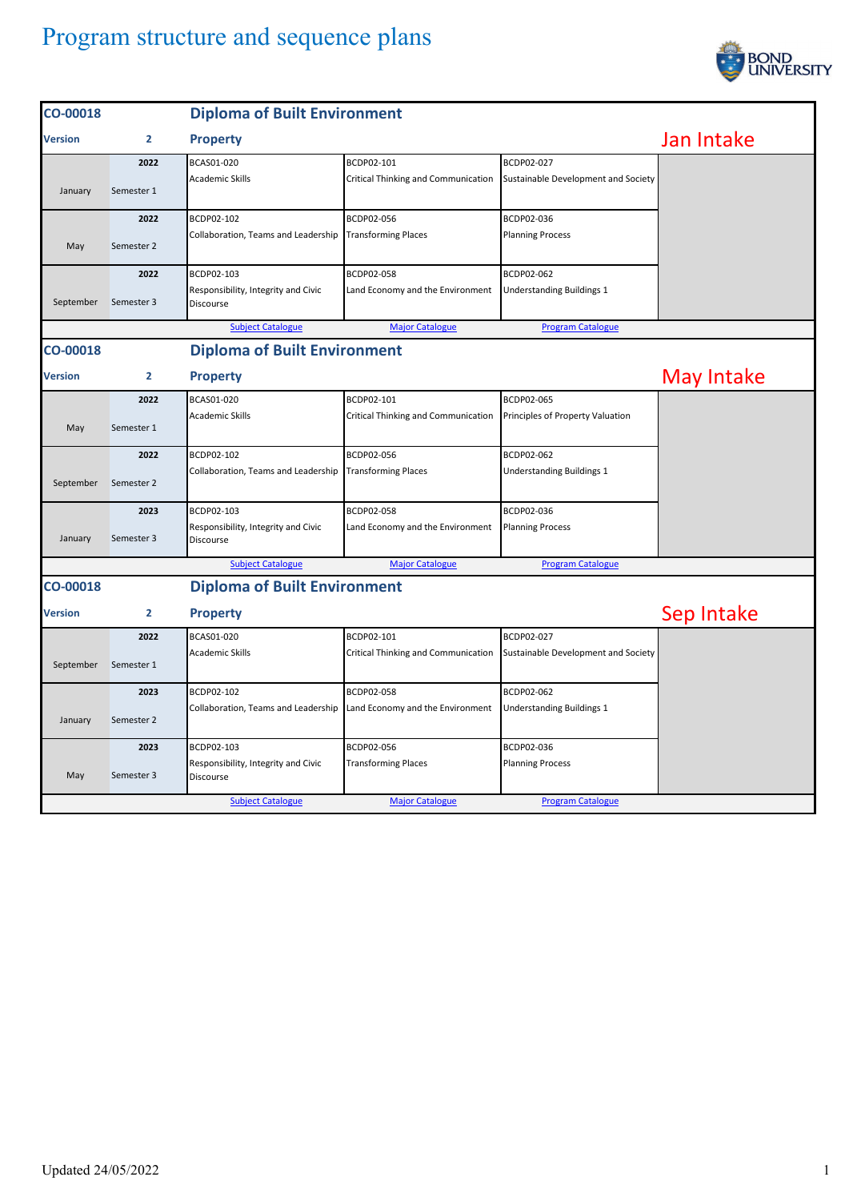## Program structure and sequence plans